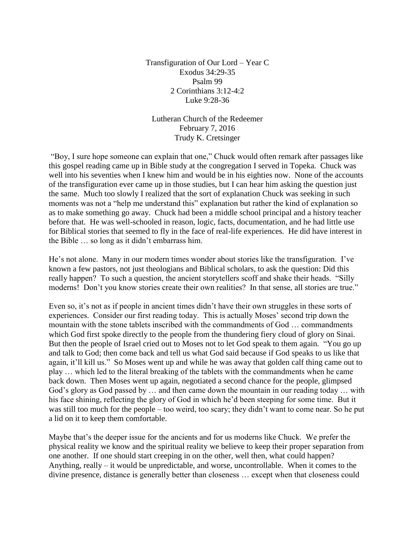Transfiguration of Our Lord – Year C Exodus 34:29-35 Psalm 99 2 Corinthians 3:12-4:2 Luke 9:28-36

Lutheran Church of the Redeemer February 7, 2016 Trudy K. Cretsinger

"Boy, I sure hope someone can explain that one," Chuck would often remark after passages like this gospel reading came up in Bible study at the congregation I served in Topeka. Chuck was well into his seventies when I knew him and would be in his eighties now. None of the accounts of the transfiguration ever came up in those studies, but I can hear him asking the question just the same. Much too slowly I realized that the sort of explanation Chuck was seeking in such moments was not a "help me understand this" explanation but rather the kind of explanation so as to make something go away. Chuck had been a middle school principal and a history teacher before that. He was well-schooled in reason, logic, facts, documentation, and he had little use for Biblical stories that seemed to fly in the face of real-life experiences. He did have interest in the Bible … so long as it didn't embarrass him.

He's not alone. Many in our modern times wonder about stories like the transfiguration. I've known a few pastors, not just theologians and Biblical scholars, to ask the question: Did this really happen? To such a question, the ancient storytellers scoff and shake their heads. "Silly moderns! Don't you know stories create their own realities? In that sense, all stories are true."

Even so, it's not as if people in ancient times didn't have their own struggles in these sorts of experiences. Consider our first reading today. This is actually Moses' second trip down the mountain with the stone tablets inscribed with the commandments of God … commandments which God first spoke directly to the people from the thundering fiery cloud of glory on Sinai. But then the people of Israel cried out to Moses not to let God speak to them again. "You go up and talk to God; then come back and tell us what God said because if God speaks to us like that again, it'll kill us." So Moses went up and while he was away that golden calf thing came out to play … which led to the literal breaking of the tablets with the commandments when he came back down. Then Moses went up again, negotiated a second chance for the people, glimpsed God's glory as God passed by … and then came down the mountain in our reading today … with his face shining, reflecting the glory of God in which he'd been steeping for some time. But it was still too much for the people – too weird, too scary; they didn't want to come near. So he put a lid on it to keep them comfortable.

Maybe that's the deeper issue for the ancients and for us moderns like Chuck. We prefer the physical reality we know and the spiritual reality we believe to keep their proper separation from one another. If one should start creeping in on the other, well then, what could happen? Anything, really – it would be unpredictable, and worse, uncontrollable. When it comes to the divine presence, distance is generally better than closeness … except when that closeness could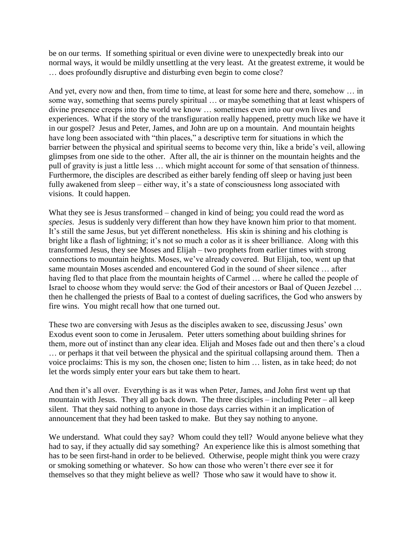be on our terms. If something spiritual or even divine were to unexpectedly break into our normal ways, it would be mildly unsettling at the very least. At the greatest extreme, it would be … does profoundly disruptive and disturbing even begin to come close?

And yet, every now and then, from time to time, at least for some here and there, somehow … in some way, something that seems purely spiritual … or maybe something that at least whispers of divine presence creeps into the world we know … sometimes even into our own lives and experiences. What if the story of the transfiguration really happened, pretty much like we have it in our gospel? Jesus and Peter, James, and John are up on a mountain. And mountain heights have long been associated with "thin places," a descriptive term for situations in which the barrier between the physical and spiritual seems to become very thin, like a bride's veil, allowing glimpses from one side to the other. After all, the air is thinner on the mountain heights and the pull of gravity is just a little less … which might account for some of that sensation of thinness. Furthermore, the disciples are described as either barely fending off sleep or having just been fully awakened from sleep – either way, it's a state of consciousness long associated with visions. It could happen.

What they see is Jesus transformed – changed in kind of being; you could read the word as *species*. Jesus is suddenly very different than how they have known him prior to that moment. It's still the same Jesus, but yet different nonetheless. His skin is shining and his clothing is bright like a flash of lightning; it's not so much a color as it is sheer brilliance. Along with this transformed Jesus, they see Moses and Elijah – two prophets from earlier times with strong connections to mountain heights. Moses, we've already covered. But Elijah, too, went up that same mountain Moses ascended and encountered God in the sound of sheer silence … after having fled to that place from the mountain heights of Carmel ... where he called the people of Israel to choose whom they would serve: the God of their ancestors or Baal of Queen Jezebel … then he challenged the priests of Baal to a contest of dueling sacrifices, the God who answers by fire wins. You might recall how that one turned out.

These two are conversing with Jesus as the disciples awaken to see, discussing Jesus' own Exodus event soon to come in Jerusalem. Peter utters something about building shrines for them, more out of instinct than any clear idea. Elijah and Moses fade out and then there's a cloud … or perhaps it that veil between the physical and the spiritual collapsing around them. Then a voice proclaims: This is my son, the chosen one; listen to him … listen, as in take heed; do not let the words simply enter your ears but take them to heart.

And then it's all over. Everything is as it was when Peter, James, and John first went up that mountain with Jesus. They all go back down. The three disciples – including Peter – all keep silent. That they said nothing to anyone in those days carries within it an implication of announcement that they had been tasked to make. But they say nothing to anyone.

We understand. What could they say? Whom could they tell? Would anyone believe what they had to say, if they actually did say something? An experience like this is almost something that has to be seen first-hand in order to be believed. Otherwise, people might think you were crazy or smoking something or whatever. So how can those who weren't there ever see it for themselves so that they might believe as well? Those who saw it would have to show it.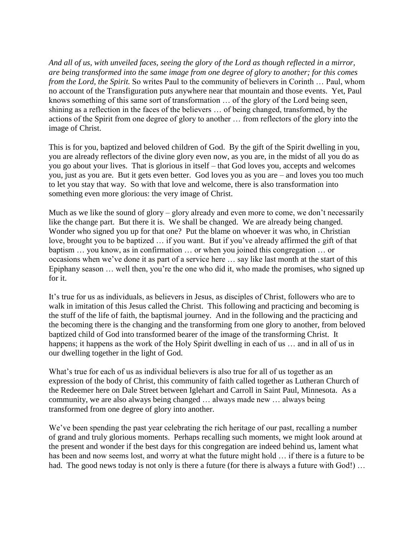*And all of us, with unveiled faces, seeing the glory of the Lord as though reflected in a mirror, are being transformed into the same image from one degree of glory to another; for this comes from the Lord, the Spirit.* So writes Paul to the community of believers in Corinth ... Paul, whom no account of the Transfiguration puts anywhere near that mountain and those events. Yet, Paul knows something of this same sort of transformation … of the glory of the Lord being seen, shining as a reflection in the faces of the believers … of being changed, transformed, by the actions of the Spirit from one degree of glory to another … from reflectors of the glory into the image of Christ.

This is for you, baptized and beloved children of God. By the gift of the Spirit dwelling in you, you are already reflectors of the divine glory even now, as you are, in the midst of all you do as you go about your lives. That is glorious in itself – that God loves you, accepts and welcomes you, just as you are. But it gets even better. God loves you as you are – and loves you too much to let you stay that way. So with that love and welcome, there is also transformation into something even more glorious: the very image of Christ.

Much as we like the sound of glory – glory already and even more to come, we don't necessarily like the change part. But there it is. We shall be changed. We are already being changed. Wonder who signed you up for that one? Put the blame on whoever it was who, in Christian love, brought you to be baptized … if you want. But if you've already affirmed the gift of that baptism … you know, as in confirmation … or when you joined this congregation … or occasions when we've done it as part of a service here … say like last month at the start of this Epiphany season … well then, you're the one who did it, who made the promises, who signed up for it.

It's true for us as individuals, as believers in Jesus, as disciples of Christ, followers who are to walk in imitation of this Jesus called the Christ. This following and practicing and becoming is the stuff of the life of faith, the baptismal journey. And in the following and the practicing and the becoming there is the changing and the transforming from one glory to another, from beloved baptized child of God into transformed bearer of the image of the transforming Christ. It happens; it happens as the work of the Holy Spirit dwelling in each of us ... and in all of us in our dwelling together in the light of God.

What's true for each of us as individual believers is also true for all of us together as an expression of the body of Christ, this community of faith called together as Lutheran Church of the Redeemer here on Dale Street between Iglehart and Carroll in Saint Paul, Minnesota. As a community, we are also always being changed … always made new … always being transformed from one degree of glory into another.

We've been spending the past year celebrating the rich heritage of our past, recalling a number of grand and truly glorious moments. Perhaps recalling such moments, we might look around at the present and wonder if the best days for this congregation are indeed behind us, lament what has been and now seems lost, and worry at what the future might hold … if there is a future to be had. The good news today is not only is there a future (for there is always a future with God!) ...